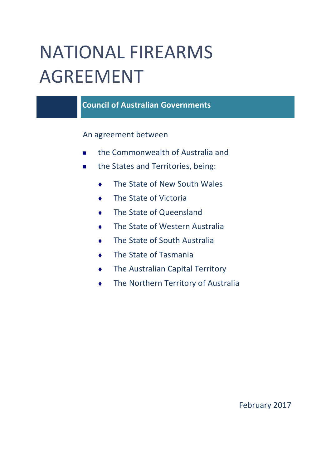# NATIONAL FIREARMS AGREEMENT

**Council of Australian Governments**

An agreement between

- the Commonwealth of Australia and
- **the States and Territories, being:** 
	- ◆ The State of New South Wales
	- ◆ The State of Victoria
	- **The State of Queensland**
	- The State of Western Australia
	- **The State of South Australia**
	- ◆ The State of Tasmania
	- **The Australian Capital Territory**
	- **The Northern Territory of Australia**

## February 2017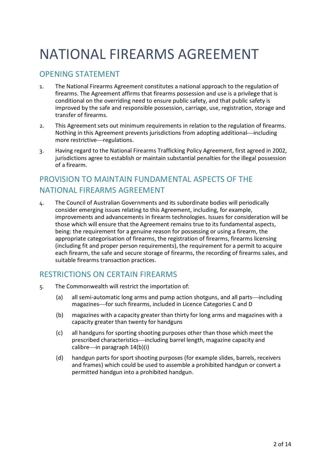## NATIONAL FIREARMS AGREEMENT

## OPENING STATEMENT

- 1. The National Firearms Agreement constitutes a national approach to the regulation of firearms. The Agreement affirms that firearms possession and use is a privilege that is conditional on the overriding need to ensure public safety, and that public safety is improved by the safe and responsible possession, carriage, use, registration, storage and transfer of firearms.
- 2. This Agreement sets out minimum requirements in relation to the regulation of firearms. Nothing in this Agreement prevents jurisdictions from adopting additional—including more restrictive-regulations.
- 3. Having regard to the National Firearms Trafficking Policy Agreement, first agreed in 2002, jurisdictions agree to establish or maintain substantial penalties for the illegal possession of a firearm.

## PROVISION TO MAINTAIN FUNDAMENTAL ASPECTS OF THE NATIONAL FIREARMS AGREEMENT

4. The Council of Australian Governments and its subordinate bodies will periodically consider emerging issues relating to this Agreement, including, for example, improvements and advancements in firearm technologies. Issues for consideration will be those which will ensure that the Agreement remains true to its fundamental aspects, being: the requirement for a genuine reason for possessing or using a firearm, the appropriate categorisation of firearms, the registration of firearms, firearms licensing (including fit and proper person requirements), the requirement for a permit to acquire each firearm, the safe and secure storage of firearms, the recording of firearms sales, and suitable firearms transaction practices.

## RESTRICTIONS ON CERTAIN FIREARMS

- 5. The Commonwealth will restrict the importation of:
	- (a) all semi-automatic long arms and pump action shotguns, and all parts—including magazines-for such firearms, included in Licence Categories C and D
	- (b) magazines with a capacity greater than thirty for long arms and magazines with a capacity greater than twenty for handguns
	- (c) all handguns for sporting shooting purposes other than those which meet the prescribed characteristics—including barrel length, magazine capacity and calibre—in paragraph  $14(b)(i)$
	- (d) handgun parts for sport shooting purposes (for example slides, barrels, receivers and frames) which could be used to assemble a prohibited handgun or convert a permitted handgun into a prohibited handgun.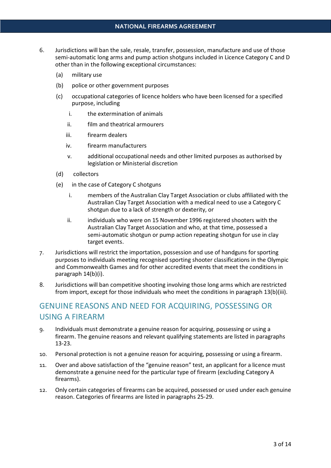- 6. Jurisdictions will ban the sale, resale, transfer, possession, manufacture and use of those semi-automatic long arms and pump action shotguns included in Licence Category C and D other than in the following exceptional circumstances:
	- (a) military use
	- (b) police or other government purposes
	- (c) occupational categories of licence holders who have been licensed for a specified purpose, including
		- i. the extermination of animals
		- ii. film and theatrical armourers
		- iii. firearm dealers
		- iv. firearm manufacturers
		- v. additional occupational needs and other limited purposes as authorised by legislation or Ministerial discretion
	- (d) collectors
	- (e) in the case of Category C shotguns
		- i. members of the Australian Clay Target Association or clubs affiliated with the Australian Clay Target Association with a medical need to use a Category C shotgun due to a lack of strength or dexterity, or
		- ii. individuals who were on 15 November 1996 registered shooters with the Australian Clay Target Association and who, at that time, possessed a semi-automatic shotgun or pump action repeating shotgun for use in clay target events.
- 7. Jurisdictions will restrict the importation, possession and use of handguns for sporting purposes to individuals meeting recognised sporting shooter classifications in the Olympic and Commonwealth Games and for other accredited events that meet the conditions in paragraph 14(b)(i).
- 8. Jurisdictions will ban competitive shooting involving those long arms which are restricted from import, except for those individuals who meet the conditions in paragraph 13(b)(iii).

## GENUINE REASONS AND NEED FOR ACQUIRING, POSSESSING OR USING A FIREARM

- 9. Individuals must demonstrate a genuine reason for acquiring, possessing or using a firearm. The genuine reasons and relevant qualifying statements are listed in paragraphs 13-23.
- 10. Personal protection is not a genuine reason for acquiring, possessing or using a firearm.
- 11. Over and above satisfaction of the "genuine reason" test, an applicant for a licence must demonstrate a genuine need for the particular type of firearm (excluding Category A firearms).
- 12. Only certain categories of firearms can be acquired, possessed or used under each genuine reason. Categories of firearms are listed in paragraphs 25-29.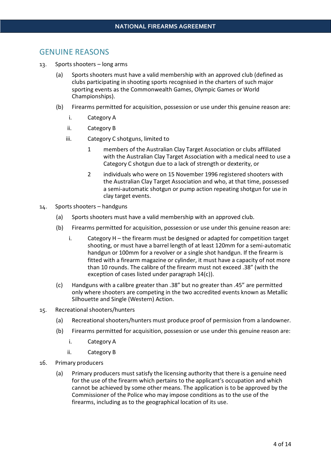## GENUINE REASONS

- 13. Sports shooters long arms
	- (a) Sports shooters must have a valid membership with an approved club (defined as clubs participating in shooting sports recognised in the charters of such major sporting events as the Commonwealth Games, Olympic Games or World Championships).
	- (b) Firearms permitted for acquisition, possession or use under this genuine reason are:
		- i. Category A
		- ii. Category B
		- iii. Category C shotguns, limited to
			- 1 members of the Australian Clay Target Association or clubs affiliated with the Australian Clay Target Association with a medical need to use a Category C shotgun due to a lack of strength or dexterity, or
			- 2 individuals who were on 15 November 1996 registered shooters with the Australian Clay Target Association and who, at that time, possessed a semi-automatic shotgun or pump action repeating shotgun for use in clay target events.
- 14. Sports shooters handguns
	- (a) Sports shooters must have a valid membership with an approved club.
	- (b) Firearms permitted for acquisition, possession or use under this genuine reason are:
		- i. Category H the firearm must be designed or adapted for competition target shooting, or must have a barrel length of at least 120mm for a semi-automatic handgun or 100mm for a revolver or a single shot handgun. If the firearm is fitted with a firearm magazine or cylinder, it must have a capacity of not more than 10 rounds. The calibre of the firearm must not exceed .38" (with the exception of cases listed under paragraph 14(c)).
	- (c) Handguns with a calibre greater than .38" but no greater than .45" are permitted only where shooters are competing in the two accredited events known as Metallic Silhouette and Single (Western) Action.
- 15. Recreational shooters/hunters
	- (a) Recreational shooters/hunters must produce proof of permission from a landowner.
	- (b) Firearms permitted for acquisition, possession or use under this genuine reason are:
		- i. Category A
		- ii. Category B
- 16. Primary producers
	- (a) Primary producers must satisfy the licensing authority that there is a genuine need for the use of the firearm which pertains to the applicant's occupation and which cannot be achieved by some other means. The application is to be approved by the Commissioner of the Police who may impose conditions as to the use of the firearms, including as to the geographical location of its use.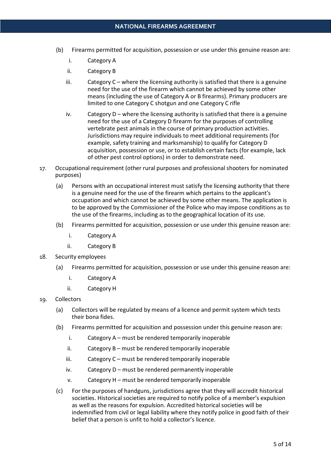- (b) Firearms permitted for acquisition, possession or use under this genuine reason are:
	- i. Category A
	- ii. Category B
	- iii. Category C where the licensing authority is satisfied that there is a genuine need for the use of the firearm which cannot be achieved by some other means (including the use of Category A or B firearms). Primary producers are limited to one Category C shotgun and one Category C rifle
	- iv. Category  $D$  where the licensing authority is satisfied that there is a genuine need for the use of a Category D firearm for the purposes of controlling vertebrate pest animals in the course of primary production activities. Jurisdictions may require individuals to meet additional requirements (for example, safety training and marksmanship) to qualify for Category D acquisition, possession or use, or to establish certain facts (for example, lack of other pest control options) in order to demonstrate need.
- 17. Occupational requirement (other rural purposes and professional shooters for nominated purposes)
	- (a) Persons with an occupational interest must satisfy the licensing authority that there is a genuine need for the use of the firearm which pertains to the applicant's occupation and which cannot be achieved by some other means. The application is to be approved by the Commissioner of the Police who may impose conditions as to the use of the firearms, including as to the geographical location of its use.
	- (b) Firearms permitted for acquisition, possession or use under this genuine reason are:
		- i. Category A
		- ii. Category B
- 18. Security employees
	- (a) Firearms permitted for acquisition, possession or use under this genuine reason are:
		- i. Category A
		- ii. Category H
- 19. Collectors
	- (a) Collectors will be regulated by means of a licence and permit system which tests their bona fides.
	- (b) Firearms permitted for acquisition and possession under this genuine reason are:
		- i. Category A must be rendered temporarily inoperable
		- ii. Category B must be rendered temporarily inoperable
		- iii. Category C must be rendered temporarily inoperable
		- iv. Category D must be rendered permanently inoperable
		- v. Category H must be rendered temporarily inoperable
	- (c) For the purposes of handguns, jurisdictions agree that they will accredit historical societies. Historical societies are required to notify police of a member's expulsion as well as the reasons for expulsion. Accredited historical societies will be indemnified from civil or legal liability where they notify police in good faith of their belief that a person is unfit to hold a collector's licence.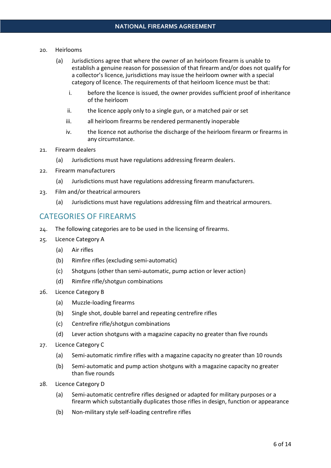#### 20. Heirlooms

- (a) Jurisdictions agree that where the owner of an heirloom firearm is unable to establish a genuine reason for possession of that firearm and/or does not qualify for a collector's licence, jurisdictions may issue the heirloom owner with a special category of licence. The requirements of that heirloom licence must be that:
	- i. before the licence is issued, the owner provides sufficient proof of inheritance of the heirloom
	- ii. the licence apply only to a single gun, or a matched pair or set
	- iii. all heirloom firearms be rendered permanently inoperable
	- iv. the licence not authorise the discharge of the heirloom firearm or firearms in any circumstance.
- 21. Firearm dealers
	- (a) Jurisdictions must have regulations addressing firearm dealers.
- 22. Firearm manufacturers
	- (a) Jurisdictions must have regulations addressing firearm manufacturers.
- 23. Film and/or theatrical armourers
	- (a) Jurisdictions must have regulations addressing film and theatrical armourers.

## CATEGORIES OF FIREARMS

- 24. The following categories are to be used in the licensing of firearms.
- 25. Licence Category A
	- (a) Air rifles
	- (b) Rimfire rifles (excluding semi-automatic)
	- (c) Shotguns (other than semi-automatic, pump action or lever action)
	- (d) Rimfire rifle/shotgun combinations
- 26. Licence Category B
	- (a) Muzzle-loading firearms
	- (b) Single shot, double barrel and repeating centrefire rifles
	- (c) Centrefire rifle/shotgun combinations
	- (d) Lever action shotguns with a magazine capacity no greater than five rounds
- 27. Licence Category C
	- (a) Semi-automatic rimfire rifles with a magazine capacity no greater than 10 rounds
	- (b) Semi-automatic and pump action shotguns with a magazine capacity no greater than five rounds
- 28. Licence Category D
	- (a) Semi-automatic centrefire rifles designed or adapted for military purposes or a firearm which substantially duplicates those rifles in design, function or appearance
	- (b) Non-military style self-loading centrefire rifles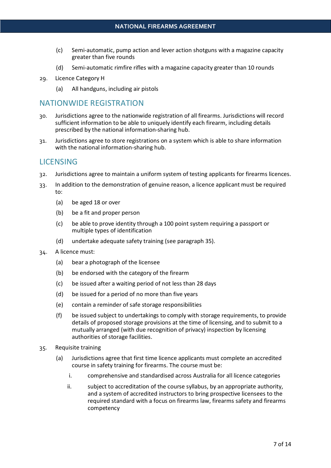- (c) Semi-automatic, pump action and lever action shotguns with a magazine capacity greater than five rounds
- (d) Semi-automatic rimfire rifles with a magazine capacity greater than 10 rounds
- 29. Licence Category H
	- (a) All handguns, including air pistols

## NATIONWIDE REGISTRATION

- 30. Jurisdictions agree to the nationwide registration of all firearms. Jurisdictions will record sufficient information to be able to uniquely identify each firearm, including details prescribed by the national information-sharing hub.
- 31. Jurisdictions agree to store registrations on a system which is able to share information with the national information-sharing hub.

## LICENSING

- 32. Jurisdictions agree to maintain a uniform system of testing applicants for firearms licences.
- 33. In addition to the demonstration of genuine reason, a licence applicant must be required to:
	- (a) be aged 18 or over
	- (b) be a fit and proper person
	- (c) be able to prove identity through a 100 point system requiring a passport or multiple types of identification
	- (d) undertake adequate safety training (see paragraph 35).
- 34. A licence must:
	- (a) bear a photograph of the licensee
	- (b) be endorsed with the category of the firearm
	- (c) be issued after a waiting period of not less than 28 days
	- (d) be issued for a period of no more than five years
	- (e) contain a reminder of safe storage responsibilities
	- (f) be issued subject to undertakings to comply with storage requirements, to provide details of proposed storage provisions at the time of licensing, and to submit to a mutually arranged (with due recognition of privacy) inspection by licensing authorities of storage facilities.
- 35. Requisite training
	- (a) Jurisdictions agree that first time licence applicants must complete an accredited course in safety training for firearms. The course must be:
		- i. comprehensive and standardised across Australia for all licence categories
		- ii. subject to accreditation of the course syllabus, by an appropriate authority, and a system of accredited instructors to bring prospective licensees to the required standard with a focus on firearms law, firearms safety and firearms competency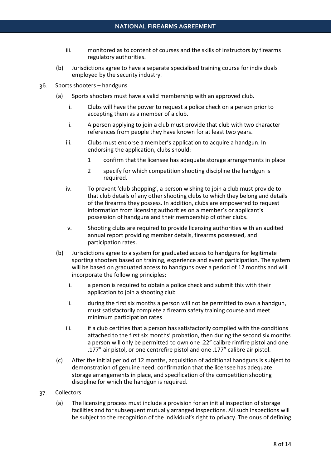- iii. monitored as to content of courses and the skills of instructors by firearms regulatory authorities.
- (b) Jurisdictions agree to have a separate specialised training course for individuals employed by the security industry.
- 36. Sports shooters handguns
	- (a) Sports shooters must have a valid membership with an approved club.
		- i. Clubs will have the power to request a police check on a person prior to accepting them as a member of a club.
		- ii. A person applying to join a club must provide that club with two character references from people they have known for at least two years.
		- iii. Clubs must endorse a member's application to acquire a handgun. In endorsing the application, clubs should:
			- 1 confirm that the licensee has adequate storage arrangements in place
			- 2 specify for which competition shooting discipline the handgun is required.
		- iv. To prevent 'club shopping', a person wishing to join a club must provide to that club details of any other shooting clubs to which they belong and details of the firearms they possess. In addition, clubs are empowered to request information from licensing authorities on a member's or applicant's possession of handguns and their membership of other clubs.
		- v. Shooting clubs are required to provide licensing authorities with an audited annual report providing member details, firearms possessed, and participation rates.
	- (b) Jurisdictions agree to a system for graduated access to handguns for legitimate sporting shooters based on training, experience and event participation. The system will be based on graduated access to handguns over a period of 12 months and will incorporate the following principles:
		- i. a person is required to obtain a police check and submit this with their application to join a shooting club
		- ii. during the first six months a person will not be permitted to own a handgun, must satisfactorily complete a firearm safety training course and meet minimum participation rates
		- iii. iii. if a club certifies that a person has satisfactorily complied with the conditions attached to the first six months' probation, then during the second six months a person will only be permitted to own one .22" calibre rimfire pistol and one .177" air pistol, or one centrefire pistol and one .177" calibre air pistol.
	- (c) After the initial period of 12 months, acquisition of additional handguns is subject to demonstration of genuine need, confirmation that the licensee has adequate storage arrangements in place, and specification of the competition shooting discipline for which the handgun is required.
- 37. Collectors
	- (a) The licensing process must include a provision for an initial inspection of storage facilities and for subsequent mutually arranged inspections. All such inspections will be subject to the recognition of the individual's right to privacy. The onus of defining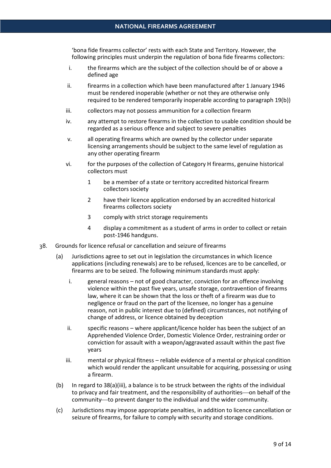'bona fide firearms collector' rests with each State and Territory. However, the following principles must underpin the regulation of bona fide firearms collectors:

- i. the firearms which are the subject of the collection should be of or above a defined age
- ii. firearms in a collection which have been manufactured after 1 January 1946 must be rendered inoperable (whether or not they are otherwise only required to be rendered temporarily inoperable according to paragraph 19(b))
- iii. collectors may not possess ammunition for a collection firearm
- iv. any attempt to restore firearms in the collection to usable condition should be regarded as a serious offence and subject to severe penalties
- v. all operating firearms which are owned by the collector under separate licensing arrangements should be subject to the same level of regulation as any other operating firearm
- vi. for the purposes of the collection of Category H firearms, genuine historical collectors must
	- 1 be a member of a state or territory accredited historical firearm collectors society
	- 2 have their licence application endorsed by an accredited historical firearms collectors society
	- 3 comply with strict storage requirements
	- 4 display a commitment as a student of arms in order to collect or retain post-1946 handguns.
- 38. Grounds for licence refusal or cancellation and seizure of firearms
	- (a) Jurisdictions agree to set out in legislation the circumstances in which licence applications (including renewals) are to be refused, licences are to be cancelled, or firearms are to be seized. The following minimum standards must apply:
		- i. general reasons not of good character, conviction for an offence involving violence within the past five years, unsafe storage, contravention of firearms law, where it can be shown that the loss or theft of a firearm was due to negligence or fraud on the part of the licensee, no longer has a genuine reason, not in public interest due to (defined) circumstances, not notifying of change of address, or licence obtained by deception
		- ii. specific reasons where applicant/licence holder has been the subject of an Apprehended Violence Order, Domestic Violence Order, restraining order or conviction for assault with a weapon/aggravated assault within the past five years
		- iii. mental or physical fitness reliable evidence of a mental or physical condition which would render the applicant unsuitable for acquiring, possessing or using a firearm.
	- (b) In regard to 38(a)(iii), a balance is to be struck between the rights of the individual to privacy and fair treatment, and the responsibility of authorities—on behalf of the community-to prevent danger to the individual and the wider community.
	- (c) Jurisdictions may impose appropriate penalties, in addition to licence cancellation or seizure of firearms, for failure to comply with security and storage conditions.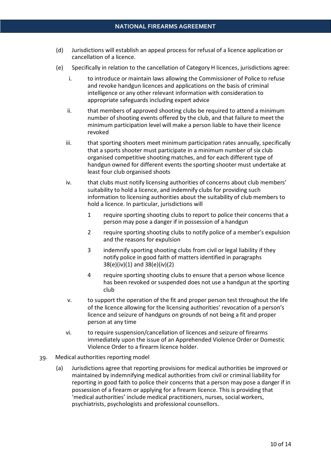- (d) Jurisdictions will establish an appeal process for refusal of a licence application or cancellation of a licence.
- (e) Specifically in relation to the cancellation of Category H licences, jurisdictions agree:
	- i. to introduce or maintain laws allowing the Commissioner of Police to refuse and revoke handgun licences and applications on the basis of criminal intelligence or any other relevant information with consideration to appropriate safeguards including expert advice
	- ii. that members of approved shooting clubs be required to attend a minimum number of shooting events offered by the club, and that failure to meet the minimum participation level will make a person liable to have their licence revoked
	- iii. that sporting shooters meet minimum participation rates annually, specifically that a sports shooter must participate in a minimum number of six club organised competitive shooting matches, and for each different type of handgun owned for different events the sporting shooter must undertake at least four club organised shoots
	- iv. that clubs must notify licensing authorities of concerns about club members' suitability to hold a licence, and indemnify clubs for providing such information to licensing authorities about the suitability of club members to hold a licence. In particular, jurisdictions will
		- 1 require sporting shooting clubs to report to police their concerns that a person may pose a danger if in possession of a handgun
		- 2 require sporting shooting clubs to notify police of a member's expulsion and the reasons for expulsion
		- 3 indemnify sporting shooting clubs from civil or legal liability if they notify police in good faith of matters identified in paragraphs 38(e)(iv)(1) and 38(e)(iv)(2)
		- 4 require sporting shooting clubs to ensure that a person whose licence has been revoked or suspended does not use a handgun at the sporting club
	- v. to support the operation of the fit and proper person test throughout the life of the licence allowing for the licensing authorities' revocation of a person's licence and seizure of handguns on grounds of not being a fit and proper person at any time
	- vi. to require suspension/cancellation of licences and seizure of firearms immediately upon the issue of an Apprehended Violence Order or Domestic Violence Order to a firearm licence holder.
- 39. Medical authorities reporting model
	- (a) Jurisdictions agree that reporting provisions for medical authorities be improved or maintained by indemnifying medical authorities from civil or criminal liability for reporting in good faith to police their concerns that a person may pose a danger if in possession of a firearm or applying for a firearm licence. This is providing that 'medical authorities' include medical practitioners, nurses, social workers, psychiatrists, psychologists and professional counsellors.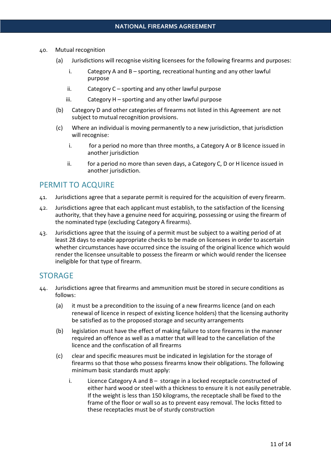- 40. Mutual recognition
	- (a) Jurisdictions will recognise visiting licensees for the following firearms and purposes:
		- i. Category A and B sporting, recreational hunting and any other lawful purpose
		- ii. Category C sporting and any other lawful purpose
		- iii. Category H sporting and any other lawful purpose
	- (b) Category D and other categories of firearms not listed in this Agreement are not subject to mutual recognition provisions.
	- (c) Where an individual is moving permanently to a new jurisdiction, that jurisdiction will recognise:
		- i. for a period no more than three months, a Category A or B licence issued in another jurisdiction
		- ii. for a period no more than seven days, a Category C, D or H licence issued in another jurisdiction.

## PERMIT TO ACQUIRE

- 41. Jurisdictions agree that a separate permit is required for the acquisition of every firearm.
- 42. Jurisdictions agree that each applicant must establish, to the satisfaction of the licensing authority, that they have a genuine need for acquiring, possessing or using the firearm of the nominated type (excluding Category A firearms).
- 43. Jurisdictions agree that the issuing of a permit must be subject to a waiting period of at least 28 days to enable appropriate checks to be made on licensees in order to ascertain whether circumstances have occurred since the issuing of the original licence which would render the licensee unsuitable to possess the firearm or which would render the licensee ineligible for that type of firearm.

## **STORAGE**

- 44. Jurisdictions agree that firearms and ammunition must be stored in secure conditions as follows:
	- (a) it must be a precondition to the issuing of a new firearms licence (and on each renewal of licence in respect of existing licence holders) that the licensing authority be satisfied as to the proposed storage and security arrangements
	- (b) legislation must have the effect of making failure to store firearms in the manner required an offence as well as a matter that will lead to the cancellation of the licence and the confiscation of all firearms
	- (c) clear and specific measures must be indicated in legislation for the storage of firearms so that those who possess firearms know their obligations. The following minimum basic standards must apply:
		- i. Licence Category A and B storage in a locked receptacle constructed of either hard wood or steel with a thickness to ensure it is not easily penetrable. If the weight is less than 150 kilograms, the receptacle shall be fixed to the frame of the floor or wall so as to prevent easy removal. The locks fitted to these receptacles must be of sturdy construction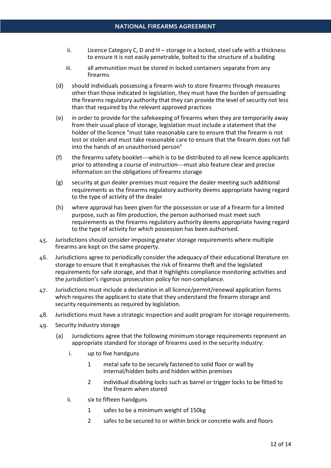- ii. Licence Category C, D and  $H$  storage in a locked, steel safe with a thickness to ensure it is not easily penetrable, bolted to the structure of a building
- iii. all ammunition must be stored in locked containers separate from any firearms
- (d) should individuals possessing a firearm wish to store firearms through measures other than those indicated in legislation, they must have the burden of persuading the firearms regulatory authority that they can provide the level of security not less than that required by the relevant approved practices
- (e) in order to provide for the safekeeping of firearms when they are temporarily away from their usual place of storage, legislation must include a statement that the holder of the licence "must take reasonable care to ensure that the firearm is not lost or stolen and must take reasonable care to ensure that the firearm does not fall into the hands of an unauthorised person"
- $(f)$  the firearms safety booklet—which is to be distributed to all new licence applicants prior to attending a course of instruction—must also feature clear and precise information on the obligations of firearms storage
- (g) security at gun dealer premises must require the dealer meeting such additional requirements as the firearms regulatory authority deems appropriate having regard to the type of activity of the dealer
- (h) where approval has been given for the possession or use of a firearm for a limited purpose, such as film production, the person authorised must meet such requirements as the firearms regulatory authority deems appropriate having regard to the type of activity for which possession has been authorised.
- 45. Jurisdictions should consider imposing greater storage requirements where multiple firearms are kept on the same property.
- 46. Jurisdictions agree to periodically consider the adequacy of their educational literature on storage to ensure that it emphasises the risk of firearms theft and the legislated requirements for safe storage, and that it highlights compliance monitoring activities and the jurisdiction's rigorous prosecution policy for non-compliance.
- 47. Jurisdictions must include a declaration in all licence/permit/renewal application forms which requires the applicant to state that they understand the firearm storage and security requirements as required by legislation.
- 48. Jurisdictions must have a strategic inspection and audit program for storage requirements.
- 49. Security industry storage
	- (a) Jurisdictions agree that the following minimum storage requirements represent an appropriate standard for storage of firearms used in the security industry:
		- i. up to five handguns
			- 1 metal safe to be securely fastened to solid floor or wall by internal/hidden bolts and hidden within premises
			- 2 individual disabling locks such as barrel or trigger locks to be fitted to the firearm when stored
		- ii. six to fifteen handguns
			- 1 safes to be a minimum weight of 150kg
			- 2 safes to be secured to or within brick or concrete walls and floors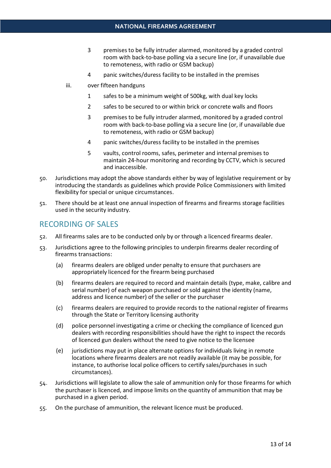- 3 premises to be fully intruder alarmed, monitored by a graded control room with back-to-base polling via a secure line (or, if unavailable due to remoteness, with radio or GSM backup)
- 4 panic switches/duress facility to be installed in the premises
- iii. over fifteen handguns
	- 1 safes to be a minimum weight of 500kg, with dual key locks
	- 2 safes to be secured to or within brick or concrete walls and floors
	- 3 premises to be fully intruder alarmed, monitored by a graded control room with back-to-base polling via a secure line (or, if unavailable due to remoteness, with radio or GSM backup)
	- 4 panic switches/duress facility to be installed in the premises
	- 5 vaults, control rooms, safes, perimeter and internal premises to maintain 24-hour monitoring and recording by CCTV, which is secured and inaccessible.
- 50. Jurisdictions may adopt the above standards either by way of legislative requirement or by introducing the standards as guidelines which provide Police Commissioners with limited flexibility for special or unique circumstances.
- 51. There should be at least one annual inspection of firearms and firearms storage facilities used in the security industry.

## RECORDING OF SALES

- 52. All firearms sales are to be conducted only by or through a licenced firearms dealer.
- 53. Jurisdictions agree to the following principles to underpin firearms dealer recording of firearms transactions:
	- (a) firearms dealers are obliged under penalty to ensure that purchasers are appropriately licenced for the firearm being purchased
	- (b) firearms dealers are required to record and maintain details (type, make, calibre and serial number) of each weapon purchased or sold against the identity (name, address and licence number) of the seller or the purchaser
	- (c) firearms dealers are required to provide records to the national register of firearms through the State or Territory licensing authority
	- (d) police personnel investigating a crime or checking the compliance of licenced gun dealers with recording responsibilities should have the right to inspect the records of licenced gun dealers without the need to give notice to the licensee
	- (e) jurisdictions may put in place alternate options for individuals living in remote locations where firearms dealers are not readily available (it may be possible, for instance, to authorise local police officers to certify sales/purchases in such circumstances).
- 54. Jurisdictions will legislate to allow the sale of ammunition only for those firearms for which the purchaser is licenced, and impose limits on the quantity of ammunition that may be purchased in a given period.
- 55. On the purchase of ammunition, the relevant licence must be produced.